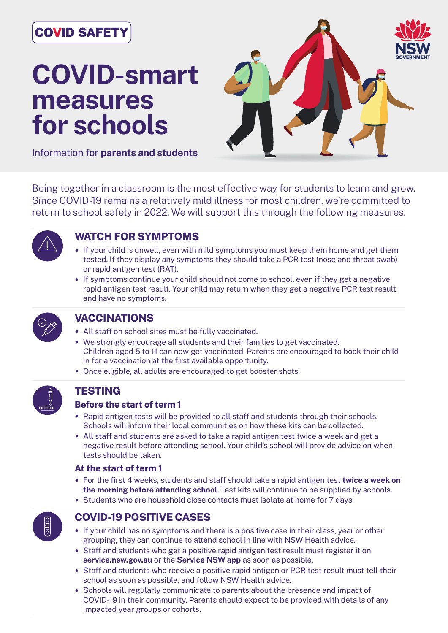# **COVID SAFET**

# **COVID-smart measures for schools**



Information for **parents and students**

Being together in a classroom is the most effective way for students to learn and grow. Since COVID-19 remains a relatively mild illness for most children, we're committed to return to school safely in 2022. We will support this through the following measures.



# **WATCH FOR SYMPTOMS**

- If your child is unwell, even with mild symptoms you must keep them home and get them tested. If they display any symptoms they should take a PCR test (nose and throat swab) or rapid antigen test (RAT).
- If symptoms continue your child should not come to school, even if they get a negative rapid antigen test result. Your child may return when they get a negative PCR test result and have no symptoms.



#### **VACCINATIONS**

- All staff on school sites must be fully vaccinated.
- We strongly encourage all students and their families to get vaccinated. Children aged 5 to 11 can now get vaccinated. Parents are encouraged to book their child in for a vaccination at the first available opportunity.
- Once eligible, all adults are encouraged to get booster shots.



#### **TESTING**

#### **Before the start of term 1**

- Rapid antigen tests will be provided to all staff and students through their schools. Schools will inform their local communities on how these kits can be collected.
- All staff and students are asked to take a rapid antigen test twice a week and get a negative result before attending school. Your child's school will provide advice on when tests should be taken.

#### **At the start of term 1**

- For the first 4 weeks, students and staff should take a rapid antigen test **twice a week on the morning before attending school**. Test kits will continue to be supplied by schools.
- Students who are household close contacts must isolate at home for 7 days.



# **COVID-19 POSITIVE CASES**

- If your child has no symptoms and there is a positive case in their class, year or other grouping, they can continue to attend school in line with NSW Health advice.
- Staff and students who get a positive rapid antigen test result must register it on **service.nsw.gov.au** or the **Service NSW app** as soon as possible.
- Staff and students who receive a positive rapid antigen or PCR test result must tell their school as soon as possible, and follow NSW Health advice.
- Schools will regularly communicate to parents about the presence and impact of COVID-19 in their community. Parents should expect to be provided with details of any impacted year groups or cohorts.